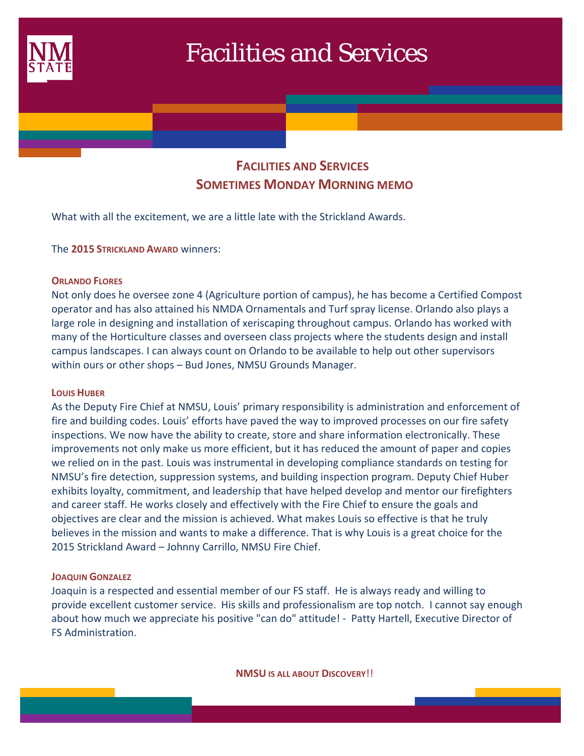

# Facilities and Services

# **FACILITIES AND SERVICES SOMETIMES MONDAY MORNING MEMO**

What with all the excitement, we are a little late with the Strickland Awards.

The **2015 STRICKLAND AWARD** winners:

# **ORLANDO FLORES**

Not only does he oversee zone 4 (Agriculture portion of campus), he has become a Certified Compost operator and has also attained his NMDA Ornamentals and Turf spray license. Orlando also plays a large role in designing and installation of xeriscaping throughout campus. Orlando has worked with many of the Horticulture classes and overseen class projects where the students design and install campus landscapes. I can always count on Orlando to be available to help out other supervisors within ours or other shops – Bud Jones, NMSU Grounds Manager.

# **LOUIS HUBER**

As the Deputy Fire Chief at NMSU, Louis' primary responsibility is administration and enforcement of fire and building codes. Louis' efforts have paved the way to improved processes on our fire safety inspections. We now have the ability to create, store and share information electronically. These improvements not only make us more efficient, but it has reduced the amount of paper and copies we relied on in the past. Louis was instrumental in developing compliance standards on testing for NMSU's fire detection, suppression systems, and building inspection program. Deputy Chief Huber exhibits loyalty, commitment, and leadership that have helped develop and mentor our firefighters and career staff. He works closely and effectively with the Fire Chief to ensure the goals and objectives are clear and the mission is achieved. What makes Louis so effective is that he truly believes in the mission and wants to make a difference. That is why Louis is a great choice for the 2015 Strickland Award – Johnny Carrillo, NMSU Fire Chief.

# **JOAQUIN GONZALEZ**

Joaquin is a respected and essential member of our FS staff. He is always ready and willing to provide excellent customer service. His skills and professionalism are top notch. I cannot say enough about how much we appreciate his positive "can do" attitude! ‐ Patty Hartell, Executive Director of FS Administration.

**NMSU IS ALL ABOUT DISCOVERY**!!